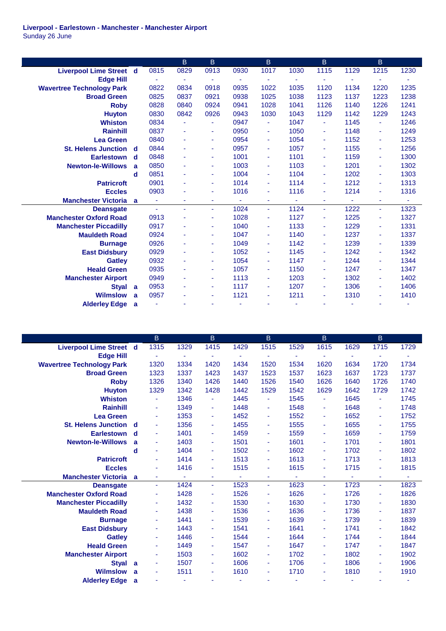**Liverpool - Earlestown - Manchester - Manchester Airport** Sunday 26 June

|                                  |              |                | B              | B              |      | $\mathsf B$ |                          | $\mathsf B$ |      | B              |      |
|----------------------------------|--------------|----------------|----------------|----------------|------|-------------|--------------------------|-------------|------|----------------|------|
| <b>Liverpool Lime Street d</b>   |              | 0815           | 0829           | 0913           | 0930 | 1017        | 1030                     | 1115        | 1129 | 1215           | 1230 |
| <b>Edge Hill</b>                 |              |                |                |                |      |             |                          |             |      |                |      |
| <b>Wavertree Technology Park</b> |              | 0822           | 0834           | 0918           | 0935 | 1022        | 1035                     | 1120        | 1134 | 1220           | 1235 |
| <b>Broad Green</b>               |              | 0825           | 0837           | 0921           | 0938 | 1025        | 1038                     | 1123        | 1137 | 1223           | 1238 |
| <b>Roby</b>                      |              | 0828           | 0840           | 0924           | 0941 | 1028        | 1041                     | 1126        | 1140 | 1226           | 1241 |
| <b>Huyton</b>                    |              | 0830           | 0842           | 0926           | 0943 | 1030        | 1043                     | 1129        | 1142 | 1229           | 1243 |
| <b>Whiston</b>                   |              | 0834           | Ξ              | $\blacksquare$ | 0947 | ٠           | 1047                     | ٠           | 1145 | $\blacksquare$ | 1246 |
| <b>Rainhill</b>                  |              | 0837           | Ξ              | $\blacksquare$ | 0950 | ٠           | 1050                     | ٠           | 1148 | $\blacksquare$ | 1249 |
| <b>Lea Green</b>                 |              | 0840           | ٠              | $\blacksquare$ | 0954 | ٠           | 1054                     | ٠           | 1152 | ٠              | 1253 |
| <b>St. Helens Junction</b>       | -d           | 0844           | $\blacksquare$ | $\blacksquare$ | 0957 | ÷           | 1057                     | ٠           | 1155 | ٠              | 1256 |
| <b>Earlestown</b>                | d            | 0848           | $\blacksquare$ | ٠              | 1001 | ٠           | 1101                     | ٠           | 1159 | $\blacksquare$ | 1300 |
| <b>Newton-le-Willows</b>         | a            | 0850           | $\blacksquare$ | $\blacksquare$ | 1003 | ٠           | 1103                     | ٠           | 1201 | ٠              | 1302 |
|                                  | d            | 0851           | ٠              | ٠              | 1004 | ٠           | 1104                     | ٠           | 1202 | $\blacksquare$ | 1303 |
| <b>Patricroft</b>                |              | 0901           | ٠              | ÷              | 1014 | ÷           | 1114                     | ٠           | 1212 | $\blacksquare$ | 1313 |
| <b>Eccles</b>                    |              | 0903           | ٠              |                | 1016 | ٠           | 1116                     | ٠           | 1214 | ÷              | 1316 |
| <b>Manchester Victoria</b>       | $\mathbf{a}$ | $\blacksquare$ | ٠              | ٠              | ÷    | ٠           | $\overline{\phantom{a}}$ | ٠           | Ξ    | $\blacksquare$ |      |
| <b>Deansgate</b>                 |              | $\sim$         | ä,             | $\sim$         | 1024 | ÷           | 1124                     | ÷           | 1222 | ÷              | 1323 |
| <b>Manchester Oxford Road</b>    |              | 0913           | Ξ              | ٠              | 1028 | ٠           | 1127                     | ۰           | 1225 | Ξ              | 1327 |
| <b>Manchester Piccadilly</b>     |              | 0917           | ٠              | ٠              | 1040 | ٠           | 1133                     | ۰           | 1229 | ÷              | 1331 |
| <b>Mauldeth Road</b>             |              | 0924           | ٠              | ÷              | 1047 | ٠           | 1140                     | ٠           | 1237 | $\blacksquare$ | 1337 |
| <b>Burnage</b>                   |              | 0926           | ٠              |                | 1049 | ٠           | 1142                     | ٠           | 1239 | $\blacksquare$ | 1339 |
| <b>East Didsbury</b>             |              | 0929           | Ξ              | ٠              | 1052 | ٠           | 1145                     | ٠           | 1242 | ä,             | 1342 |
| <b>Gatley</b>                    |              | 0932           | Ξ              | $\blacksquare$ | 1054 | ٠           | 1147                     | ٠           | 1244 | $\blacksquare$ | 1344 |
| <b>Heald Green</b>               |              | 0935           | ٠              | ÷              | 1057 | ٠           | 1150                     | ٠           | 1247 | $\blacksquare$ | 1347 |
| <b>Manchester Airport</b>        |              | 0949           | Ξ              | $\blacksquare$ | 1113 | ٠           | 1203                     | ٠           | 1302 | $\blacksquare$ | 1402 |
| <b>Styal</b>                     | a            | 0953           | ٠              | ٠              | 1117 | ٠           | 1207                     | Ξ           | 1306 | $\blacksquare$ | 1406 |
| <b>Wilmslow</b>                  | a            | 0957           | ٠              | $\blacksquare$ | 1121 | ٠           | 1211                     | ۰           | 1310 | $\blacksquare$ | 1410 |
|                                  |              |                |                |                |      |             |                          |             |      |                |      |

| 1315<br>1615<br>1715<br><b>Liverpool Lime Street d</b><br>1329<br>1415<br>1429<br>1515<br>1529<br>1629<br>1729<br><b>Edge Hill</b><br>ä,<br>ä,<br>۰<br>٠<br>٠<br>÷<br>1734<br>1320<br>1334<br>1420<br>1434<br>1520<br>1534<br>1620<br>1634<br>1720<br><b>Wavertree Technology Park</b><br>1323<br>1337<br>1423<br>1437<br>1523<br>1537<br>1623<br>1637<br>1723<br>1737<br><b>Broad Green</b><br>1426<br>1326<br>1340<br>1440<br>1526<br>1540<br>1626<br>1640<br>1726<br>1740<br><b>Roby</b><br>1329<br>1428<br>1529<br>1542<br>1629<br>1342<br>1442<br>1642<br>1729<br>1742<br><b>Huyton</b><br>1346<br>1445<br>1545<br>1645<br>1745<br><b>Whiston</b><br>$\blacksquare$<br>$\blacksquare$<br>٠<br>1548<br>1648<br>1349<br>1448<br>1748<br><b>Rainhill</b><br>÷<br>٠<br>$\blacksquare$<br>÷<br>٠<br><b>Lea Green</b><br>1353<br>1452<br>1552<br>1652<br>1752<br>÷<br>÷<br>÷<br>٠<br>1655<br>1356<br>1455<br>1555<br>1755<br><b>St. Helens Junction d</b><br>÷<br>٠<br>٠<br>$\blacksquare$<br>٠<br>1459<br>1559<br>1659<br>1759<br>1401<br><b>Earlestown</b><br>d<br>$\blacksquare$<br>٠<br>٠<br>$\blacksquare$<br>1601<br>1403<br>1501<br>1701<br>1801<br><b>Newton-le-Willows</b><br>a<br>$\blacksquare$<br>٠<br>٠<br>÷<br>1602<br>1404<br>1502<br>1702<br>1802<br>d<br>ä,<br>٠<br>Ξ<br>$\blacksquare$<br>1613<br>1713<br>1414<br>1513<br>1813<br><b>Patricroft</b><br>٠<br>٠<br>٠<br>$\blacksquare$<br>1416<br>1515<br>1615<br>1715<br>1815<br><b>Eccles</b><br>٠<br>$\blacksquare$<br>٠<br>٠<br>$\blacksquare$<br><b>Manchester Victoria</b> a<br>ä,<br>٠<br>۰<br>٠<br>1623<br>1424<br>1523<br>1723<br>1823<br><b>Deansgate</b><br>÷<br>÷<br>$\blacksquare$<br>÷<br>$\sim$<br>1526<br>1626<br>1726<br>1428<br>1826<br><b>Manchester Oxford Road</b><br>٠<br>٠<br>$\blacksquare$<br>÷<br>$\blacksquare$<br>1530<br>1630<br>1730<br>1830<br>1432<br><b>Manchester Piccadilly</b><br>٠<br>$\sim$<br>٠<br>÷<br>٠<br>1536<br>1636<br>1736<br>1837<br>1438<br><b>Mauldeth Road</b><br>٠<br>٠<br>$\blacksquare$<br>1441<br>1539<br>1639<br>1739<br>1839<br><b>Burnage</b><br>$\sim$<br>٠<br>٠<br>÷<br>٠<br>1641<br>1443<br>1541<br>1741<br>1842<br><b>East Didsbury</b><br>٠<br>$\blacksquare$<br>$\blacksquare$<br>۰<br>1644<br>1744<br>1844<br>1446<br>1544<br><b>Gatley</b><br>÷<br>$\blacksquare$<br>÷<br>٠<br>٠<br>1647<br>1847<br><b>Heald Green</b><br>1449<br>1547<br>1747<br>٠<br>ä,<br>٠<br>$\blacksquare$<br>1802<br>1503<br>1602<br>1702<br>1902<br><b>Manchester Airport</b><br>÷<br>٠<br>٠<br>٠<br>٠<br>1806<br>1507<br>1606<br>1706<br>1906<br><b>Styal</b><br>a<br>٠<br>$\blacksquare$<br>٠<br>$\sim$<br>÷<br>1511<br>1610<br>1710<br>1810<br><b>Wilmslow</b><br>1910<br>a<br>٠<br>٠<br>٠<br>٠<br>$\blacksquare$<br><b>Alderley Edge</b><br>a |  | $\mathsf B$ | B | $\mathsf B$ | B | $\overline{B}$ |  |
|-----------------------------------------------------------------------------------------------------------------------------------------------------------------------------------------------------------------------------------------------------------------------------------------------------------------------------------------------------------------------------------------------------------------------------------------------------------------------------------------------------------------------------------------------------------------------------------------------------------------------------------------------------------------------------------------------------------------------------------------------------------------------------------------------------------------------------------------------------------------------------------------------------------------------------------------------------------------------------------------------------------------------------------------------------------------------------------------------------------------------------------------------------------------------------------------------------------------------------------------------------------------------------------------------------------------------------------------------------------------------------------------------------------------------------------------------------------------------------------------------------------------------------------------------------------------------------------------------------------------------------------------------------------------------------------------------------------------------------------------------------------------------------------------------------------------------------------------------------------------------------------------------------------------------------------------------------------------------------------------------------------------------------------------------------------------------------------------------------------------------------------------------------------------------------------------------------------------------------------------------------------------------------------------------------------------------------------------------------------------------------------------------------------------------------------------------------------------------------------------------------------------------------------------------------------------------------------------------------------------------------------------------------------------------------------------------------------------------------------------------------------|--|-------------|---|-------------|---|----------------|--|
|                                                                                                                                                                                                                                                                                                                                                                                                                                                                                                                                                                                                                                                                                                                                                                                                                                                                                                                                                                                                                                                                                                                                                                                                                                                                                                                                                                                                                                                                                                                                                                                                                                                                                                                                                                                                                                                                                                                                                                                                                                                                                                                                                                                                                                                                                                                                                                                                                                                                                                                                                                                                                                                                                                                                                           |  |             |   |             |   |                |  |
|                                                                                                                                                                                                                                                                                                                                                                                                                                                                                                                                                                                                                                                                                                                                                                                                                                                                                                                                                                                                                                                                                                                                                                                                                                                                                                                                                                                                                                                                                                                                                                                                                                                                                                                                                                                                                                                                                                                                                                                                                                                                                                                                                                                                                                                                                                                                                                                                                                                                                                                                                                                                                                                                                                                                                           |  |             |   |             |   |                |  |
|                                                                                                                                                                                                                                                                                                                                                                                                                                                                                                                                                                                                                                                                                                                                                                                                                                                                                                                                                                                                                                                                                                                                                                                                                                                                                                                                                                                                                                                                                                                                                                                                                                                                                                                                                                                                                                                                                                                                                                                                                                                                                                                                                                                                                                                                                                                                                                                                                                                                                                                                                                                                                                                                                                                                                           |  |             |   |             |   |                |  |
|                                                                                                                                                                                                                                                                                                                                                                                                                                                                                                                                                                                                                                                                                                                                                                                                                                                                                                                                                                                                                                                                                                                                                                                                                                                                                                                                                                                                                                                                                                                                                                                                                                                                                                                                                                                                                                                                                                                                                                                                                                                                                                                                                                                                                                                                                                                                                                                                                                                                                                                                                                                                                                                                                                                                                           |  |             |   |             |   |                |  |
|                                                                                                                                                                                                                                                                                                                                                                                                                                                                                                                                                                                                                                                                                                                                                                                                                                                                                                                                                                                                                                                                                                                                                                                                                                                                                                                                                                                                                                                                                                                                                                                                                                                                                                                                                                                                                                                                                                                                                                                                                                                                                                                                                                                                                                                                                                                                                                                                                                                                                                                                                                                                                                                                                                                                                           |  |             |   |             |   |                |  |
|                                                                                                                                                                                                                                                                                                                                                                                                                                                                                                                                                                                                                                                                                                                                                                                                                                                                                                                                                                                                                                                                                                                                                                                                                                                                                                                                                                                                                                                                                                                                                                                                                                                                                                                                                                                                                                                                                                                                                                                                                                                                                                                                                                                                                                                                                                                                                                                                                                                                                                                                                                                                                                                                                                                                                           |  |             |   |             |   |                |  |
|                                                                                                                                                                                                                                                                                                                                                                                                                                                                                                                                                                                                                                                                                                                                                                                                                                                                                                                                                                                                                                                                                                                                                                                                                                                                                                                                                                                                                                                                                                                                                                                                                                                                                                                                                                                                                                                                                                                                                                                                                                                                                                                                                                                                                                                                                                                                                                                                                                                                                                                                                                                                                                                                                                                                                           |  |             |   |             |   |                |  |
|                                                                                                                                                                                                                                                                                                                                                                                                                                                                                                                                                                                                                                                                                                                                                                                                                                                                                                                                                                                                                                                                                                                                                                                                                                                                                                                                                                                                                                                                                                                                                                                                                                                                                                                                                                                                                                                                                                                                                                                                                                                                                                                                                                                                                                                                                                                                                                                                                                                                                                                                                                                                                                                                                                                                                           |  |             |   |             |   |                |  |
|                                                                                                                                                                                                                                                                                                                                                                                                                                                                                                                                                                                                                                                                                                                                                                                                                                                                                                                                                                                                                                                                                                                                                                                                                                                                                                                                                                                                                                                                                                                                                                                                                                                                                                                                                                                                                                                                                                                                                                                                                                                                                                                                                                                                                                                                                                                                                                                                                                                                                                                                                                                                                                                                                                                                                           |  |             |   |             |   |                |  |
|                                                                                                                                                                                                                                                                                                                                                                                                                                                                                                                                                                                                                                                                                                                                                                                                                                                                                                                                                                                                                                                                                                                                                                                                                                                                                                                                                                                                                                                                                                                                                                                                                                                                                                                                                                                                                                                                                                                                                                                                                                                                                                                                                                                                                                                                                                                                                                                                                                                                                                                                                                                                                                                                                                                                                           |  |             |   |             |   |                |  |
|                                                                                                                                                                                                                                                                                                                                                                                                                                                                                                                                                                                                                                                                                                                                                                                                                                                                                                                                                                                                                                                                                                                                                                                                                                                                                                                                                                                                                                                                                                                                                                                                                                                                                                                                                                                                                                                                                                                                                                                                                                                                                                                                                                                                                                                                                                                                                                                                                                                                                                                                                                                                                                                                                                                                                           |  |             |   |             |   |                |  |
|                                                                                                                                                                                                                                                                                                                                                                                                                                                                                                                                                                                                                                                                                                                                                                                                                                                                                                                                                                                                                                                                                                                                                                                                                                                                                                                                                                                                                                                                                                                                                                                                                                                                                                                                                                                                                                                                                                                                                                                                                                                                                                                                                                                                                                                                                                                                                                                                                                                                                                                                                                                                                                                                                                                                                           |  |             |   |             |   |                |  |
|                                                                                                                                                                                                                                                                                                                                                                                                                                                                                                                                                                                                                                                                                                                                                                                                                                                                                                                                                                                                                                                                                                                                                                                                                                                                                                                                                                                                                                                                                                                                                                                                                                                                                                                                                                                                                                                                                                                                                                                                                                                                                                                                                                                                                                                                                                                                                                                                                                                                                                                                                                                                                                                                                                                                                           |  |             |   |             |   |                |  |
|                                                                                                                                                                                                                                                                                                                                                                                                                                                                                                                                                                                                                                                                                                                                                                                                                                                                                                                                                                                                                                                                                                                                                                                                                                                                                                                                                                                                                                                                                                                                                                                                                                                                                                                                                                                                                                                                                                                                                                                                                                                                                                                                                                                                                                                                                                                                                                                                                                                                                                                                                                                                                                                                                                                                                           |  |             |   |             |   |                |  |
|                                                                                                                                                                                                                                                                                                                                                                                                                                                                                                                                                                                                                                                                                                                                                                                                                                                                                                                                                                                                                                                                                                                                                                                                                                                                                                                                                                                                                                                                                                                                                                                                                                                                                                                                                                                                                                                                                                                                                                                                                                                                                                                                                                                                                                                                                                                                                                                                                                                                                                                                                                                                                                                                                                                                                           |  |             |   |             |   |                |  |
|                                                                                                                                                                                                                                                                                                                                                                                                                                                                                                                                                                                                                                                                                                                                                                                                                                                                                                                                                                                                                                                                                                                                                                                                                                                                                                                                                                                                                                                                                                                                                                                                                                                                                                                                                                                                                                                                                                                                                                                                                                                                                                                                                                                                                                                                                                                                                                                                                                                                                                                                                                                                                                                                                                                                                           |  |             |   |             |   |                |  |
|                                                                                                                                                                                                                                                                                                                                                                                                                                                                                                                                                                                                                                                                                                                                                                                                                                                                                                                                                                                                                                                                                                                                                                                                                                                                                                                                                                                                                                                                                                                                                                                                                                                                                                                                                                                                                                                                                                                                                                                                                                                                                                                                                                                                                                                                                                                                                                                                                                                                                                                                                                                                                                                                                                                                                           |  |             |   |             |   |                |  |
|                                                                                                                                                                                                                                                                                                                                                                                                                                                                                                                                                                                                                                                                                                                                                                                                                                                                                                                                                                                                                                                                                                                                                                                                                                                                                                                                                                                                                                                                                                                                                                                                                                                                                                                                                                                                                                                                                                                                                                                                                                                                                                                                                                                                                                                                                                                                                                                                                                                                                                                                                                                                                                                                                                                                                           |  |             |   |             |   |                |  |
|                                                                                                                                                                                                                                                                                                                                                                                                                                                                                                                                                                                                                                                                                                                                                                                                                                                                                                                                                                                                                                                                                                                                                                                                                                                                                                                                                                                                                                                                                                                                                                                                                                                                                                                                                                                                                                                                                                                                                                                                                                                                                                                                                                                                                                                                                                                                                                                                                                                                                                                                                                                                                                                                                                                                                           |  |             |   |             |   |                |  |
|                                                                                                                                                                                                                                                                                                                                                                                                                                                                                                                                                                                                                                                                                                                                                                                                                                                                                                                                                                                                                                                                                                                                                                                                                                                                                                                                                                                                                                                                                                                                                                                                                                                                                                                                                                                                                                                                                                                                                                                                                                                                                                                                                                                                                                                                                                                                                                                                                                                                                                                                                                                                                                                                                                                                                           |  |             |   |             |   |                |  |
|                                                                                                                                                                                                                                                                                                                                                                                                                                                                                                                                                                                                                                                                                                                                                                                                                                                                                                                                                                                                                                                                                                                                                                                                                                                                                                                                                                                                                                                                                                                                                                                                                                                                                                                                                                                                                                                                                                                                                                                                                                                                                                                                                                                                                                                                                                                                                                                                                                                                                                                                                                                                                                                                                                                                                           |  |             |   |             |   |                |  |
|                                                                                                                                                                                                                                                                                                                                                                                                                                                                                                                                                                                                                                                                                                                                                                                                                                                                                                                                                                                                                                                                                                                                                                                                                                                                                                                                                                                                                                                                                                                                                                                                                                                                                                                                                                                                                                                                                                                                                                                                                                                                                                                                                                                                                                                                                                                                                                                                                                                                                                                                                                                                                                                                                                                                                           |  |             |   |             |   |                |  |
|                                                                                                                                                                                                                                                                                                                                                                                                                                                                                                                                                                                                                                                                                                                                                                                                                                                                                                                                                                                                                                                                                                                                                                                                                                                                                                                                                                                                                                                                                                                                                                                                                                                                                                                                                                                                                                                                                                                                                                                                                                                                                                                                                                                                                                                                                                                                                                                                                                                                                                                                                                                                                                                                                                                                                           |  |             |   |             |   |                |  |
|                                                                                                                                                                                                                                                                                                                                                                                                                                                                                                                                                                                                                                                                                                                                                                                                                                                                                                                                                                                                                                                                                                                                                                                                                                                                                                                                                                                                                                                                                                                                                                                                                                                                                                                                                                                                                                                                                                                                                                                                                                                                                                                                                                                                                                                                                                                                                                                                                                                                                                                                                                                                                                                                                                                                                           |  |             |   |             |   |                |  |
|                                                                                                                                                                                                                                                                                                                                                                                                                                                                                                                                                                                                                                                                                                                                                                                                                                                                                                                                                                                                                                                                                                                                                                                                                                                                                                                                                                                                                                                                                                                                                                                                                                                                                                                                                                                                                                                                                                                                                                                                                                                                                                                                                                                                                                                                                                                                                                                                                                                                                                                                                                                                                                                                                                                                                           |  |             |   |             |   |                |  |
|                                                                                                                                                                                                                                                                                                                                                                                                                                                                                                                                                                                                                                                                                                                                                                                                                                                                                                                                                                                                                                                                                                                                                                                                                                                                                                                                                                                                                                                                                                                                                                                                                                                                                                                                                                                                                                                                                                                                                                                                                                                                                                                                                                                                                                                                                                                                                                                                                                                                                                                                                                                                                                                                                                                                                           |  |             |   |             |   |                |  |
|                                                                                                                                                                                                                                                                                                                                                                                                                                                                                                                                                                                                                                                                                                                                                                                                                                                                                                                                                                                                                                                                                                                                                                                                                                                                                                                                                                                                                                                                                                                                                                                                                                                                                                                                                                                                                                                                                                                                                                                                                                                                                                                                                                                                                                                                                                                                                                                                                                                                                                                                                                                                                                                                                                                                                           |  |             |   |             |   |                |  |
|                                                                                                                                                                                                                                                                                                                                                                                                                                                                                                                                                                                                                                                                                                                                                                                                                                                                                                                                                                                                                                                                                                                                                                                                                                                                                                                                                                                                                                                                                                                                                                                                                                                                                                                                                                                                                                                                                                                                                                                                                                                                                                                                                                                                                                                                                                                                                                                                                                                                                                                                                                                                                                                                                                                                                           |  |             |   |             |   |                |  |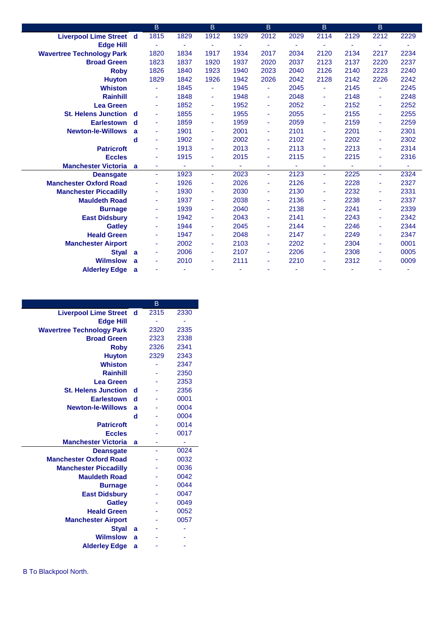|                                | В              |      | <sub>B</sub>                                                                 |      | B                                                                    |                | В                                                                    |                          | B.                                                                           |      |
|--------------------------------|----------------|------|------------------------------------------------------------------------------|------|----------------------------------------------------------------------|----------------|----------------------------------------------------------------------|--------------------------|------------------------------------------------------------------------------|------|
| <b>Liverpool Lime Street d</b> | 1815           | 1829 | 1912                                                                         | 1929 | 2012                                                                 | 2029           | 2114                                                                 | 2129                     | 2212                                                                         | 2229 |
|                                |                | ٠    |                                                                              |      | ۰                                                                    |                |                                                                      | ۰                        |                                                                              |      |
|                                | 1820           | 1834 | 1917                                                                         | 1934 | 2017                                                                 | 2034           | 2120                                                                 | 2134                     | 2217                                                                         | 2234 |
|                                | 1823           | 1837 | 1920                                                                         | 1937 | 2020                                                                 | 2037           | 2123                                                                 | 2137                     | 2220                                                                         | 2237 |
|                                | 1826           | 1840 | 1923                                                                         | 1940 | 2023                                                                 | 2040           | 2126                                                                 | 2140                     | 2223                                                                         | 2240 |
|                                | 1829           | 1842 | 1926                                                                         | 1942 | 2026                                                                 | 2042           | 2128                                                                 | 2142                     | 2226                                                                         | 2242 |
|                                |                | 1845 | ٠                                                                            | 1945 | ٠                                                                    | 2045           |                                                                      | 2145                     | ٠                                                                            | 2245 |
|                                | ÷              | 1848 | ٠                                                                            | 1948 | Ξ                                                                    | 2048           | ٠                                                                    | 2148                     | ÷                                                                            | 2248 |
|                                |                | 1852 | ٠                                                                            | 1952 | ٠                                                                    | 2052           | ٠                                                                    | 2152                     | ٠                                                                            | 2252 |
| <b>St. Helens Junction d</b>   |                | 1855 | ٠                                                                            | 1955 | ٠                                                                    | 2055           | ٠                                                                    | 2155                     | ٠                                                                            | 2255 |
| <b>Earlestown</b><br>d         | ٠              | 1859 | ٠                                                                            | 1959 | ٠                                                                    | 2059           | ٠                                                                    | 2159                     | ٠                                                                            | 2259 |
| a                              | ٠              | 1901 | ٠                                                                            | 2001 | ۰                                                                    | 2101           | ٠                                                                    | 2201                     | ٠                                                                            | 2301 |
| d                              | $\sim$         | 1902 | ٠                                                                            | 2002 | ٠                                                                    | 2102           | ٠                                                                    | 2202                     | ٠                                                                            | 2302 |
|                                | $\blacksquare$ | 1913 |                                                                              | 2013 | ٠                                                                    | 2113           | ٠                                                                    | 2213                     | ٠                                                                            | 2314 |
|                                | $\blacksquare$ | 1915 | ٠                                                                            | 2015 | ٠                                                                    | 2115           | ٠                                                                    | 2215                     | ٠                                                                            | 2316 |
| <b>Manchester Victoria</b> a   | ٠              | ٠    | ٠                                                                            | ٠    | ۰                                                                    | $\blacksquare$ | ٠                                                                    | $\overline{\phantom{a}}$ | ٠                                                                            | ٠    |
|                                | ÷.             | 1923 | ÷.                                                                           | 2023 | ÷                                                                    | 2123           | ÷                                                                    | 2225                     | ÷                                                                            | 2324 |
|                                |                |      | ٠                                                                            |      | ۰                                                                    |                | ۰                                                                    |                          | ٠                                                                            | 2327 |
|                                | ٠              |      | ٠                                                                            |      | ٠                                                                    |                | ٠                                                                    |                          | ٠                                                                            | 2331 |
|                                | ٠              |      | ٠                                                                            |      | ۰                                                                    |                | ٠                                                                    |                          | ٠                                                                            | 2337 |
|                                | ٠              |      |                                                                              |      | ٠                                                                    |                | ٠                                                                    |                          | ٠                                                                            | 2339 |
|                                | ٠              |      | ٠                                                                            |      | ٠                                                                    |                | ٠                                                                    |                          | ٠                                                                            | 2342 |
|                                |                |      | ٠                                                                            |      | ٠                                                                    |                | ٠                                                                    |                          | ٠                                                                            | 2344 |
|                                | ٠              |      | ٠                                                                            |      | ۰                                                                    |                | ٠                                                                    |                          | ٠                                                                            | 2347 |
|                                |                |      | ٠                                                                            |      | ٠                                                                    |                | ٠                                                                    |                          | ٠                                                                            | 0001 |
| a                              | ٠              |      | ٠                                                                            |      | ٠                                                                    |                | ٠                                                                    |                          | ٠                                                                            | 0005 |
| a                              | ۰              |      | ٠                                                                            | 2111 | ۰                                                                    | 2210           | ٠                                                                    |                          | ٠                                                                            | 0009 |
| a                              |                |      |                                                                              |      | ä,                                                                   |                | ٠                                                                    |                          |                                                                              | ٠    |
|                                |                |      | 1926<br>1930<br>1937<br>1939<br>1942<br>1944<br>1947<br>2002<br>2006<br>2010 |      | 2026<br>2030<br>2038<br>2040<br>2043<br>2045<br>2048<br>2103<br>2107 |                | 2126<br>2130<br>2136<br>2138<br>2141<br>2144<br>2147<br>2202<br>2206 |                          | 2228<br>2232<br>2238<br>2241<br>2243<br>2246<br>2249<br>2304<br>2308<br>2312 |      |

|                                  |             | B    |      |
|----------------------------------|-------------|------|------|
| <b>Liverpool Lime Street</b>     | ୍ d         | 2315 | 2330 |
| <b>Edge Hill</b>                 |             |      |      |
| <b>Wavertree Technology Park</b> |             | 2320 | 2335 |
| <b>Broad Green</b>               |             | 2323 | 2338 |
| <b>Roby</b>                      |             | 2326 | 2341 |
| <b>Huyton</b>                    |             | 2329 | 2343 |
| <b>Whiston</b>                   |             |      | 2347 |
| <b>Rainhill</b>                  |             |      | 2350 |
| Lea Green                        |             |      | 2353 |
| <b>St. Helens Junction</b>       | d           |      | 2356 |
| <b>Earlestown</b>                | $\mathbf d$ |      | 0001 |
| <b>Newton-le-Willows</b>         | a           |      | 0004 |
|                                  | d           |      | 0004 |
| <b>Patricroft</b>                |             |      | 0014 |
| <b>Eccles</b>                    |             |      | 0017 |
| <b>Manchester Victoria</b>       | a           | ۰    |      |
| <b>Deansgate</b>                 |             | ä,   | 0024 |
| <b>Manchester Oxford Road</b>    |             |      | 0032 |
| <b>Manchester Piccadilly</b>     |             |      | 0036 |
| <b>Mauldeth Road</b>             |             |      | 0042 |
| <b>Burnage</b>                   |             |      | 0044 |
| <b>East Didsbury</b>             |             |      | 0047 |
| <b>Gatley</b>                    |             |      | 0049 |
| <b>Heald Green</b>               |             |      | 0052 |
| <b>Manchester Airport</b>        |             |      | 0057 |
| <b>Styal</b>                     | a           |      |      |
| <b>Wilmslow</b>                  | a           |      |      |
| <b>Alderley Edge</b>             | a           |      |      |
|                                  |             |      |      |

B To Blackpool North.

۰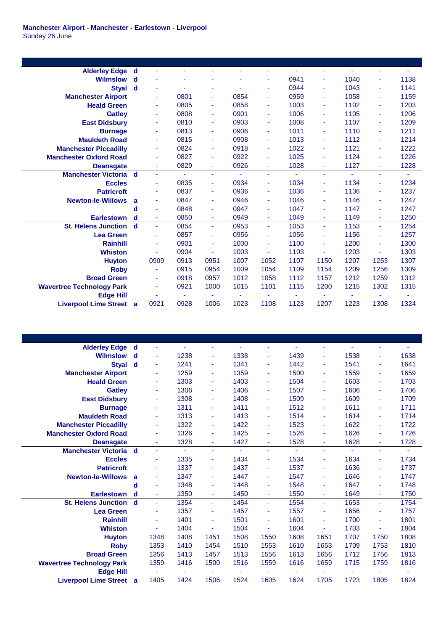| <b>Alderley Edge</b><br>d                 | u.   |        |                                              |              |                                              |              | ٠                                            |              | ٠                                            | ٠            |
|-------------------------------------------|------|--------|----------------------------------------------|--------------|----------------------------------------------|--------------|----------------------------------------------|--------------|----------------------------------------------|--------------|
| d                                         |      |        |                                              |              | ٠                                            | 0941         | ۰                                            | 1040         | ٠                                            | 1138         |
| $\mathbf d$<br><b>Styal</b>               | ٠    |        | ٠                                            | ٠            | ٠                                            | 0944         | ۰                                            | 1043         | ٠                                            | 1141         |
|                                           |      | 0801   | $\blacksquare$                               | 0854         | ٠                                            | 0959         | ۰                                            | 1058         | ٠                                            | 1159         |
|                                           | ٠    | 0805   | $\blacksquare$                               | 0858         | ٠                                            | 1003         | Ξ                                            | 1102         | ٠                                            | 1203         |
|                                           | ÷    | 0808   | ÷                                            | 0901         | ٠                                            | 1006         | ۰                                            | 1105         | ٠                                            | 1206         |
|                                           | ٠    | 0810   | ä,                                           | 0903         | ٠                                            | 1008         | ٠                                            | 1107         | ٠                                            | 1209         |
|                                           | ٠    | 0813   | $\blacksquare$                               | 0906         | ٠                                            | 1011         | Ξ                                            | 1110         | ٠                                            | 1211         |
|                                           |      | 0815   | $\blacksquare$                               | 0908         | ٠                                            | 1013         | ۰                                            | 1112         | ٠                                            | 1214         |
|                                           | ٠    | 0824   | ä,                                           | 0918         | ٠                                            | 1022         | ٠                                            | 1121         | ٠                                            | 1222         |
|                                           |      | 0827   | ٠                                            | 0922         | ٠                                            | 1025         | ÷                                            | 1124         | ٠                                            | 1226         |
|                                           | ÷    | 0829   | ä,                                           | 0926         | ÷                                            | 1028         | Ξ                                            | 1127         | ÷                                            | 1228         |
| <b>Manchester Victoria</b><br>$\mathbf d$ | ÷    | $\sim$ | ä,                                           | ÷.           | ٠                                            | ÷            | Ξ                                            | ÷.           | ٠                                            | ٠            |
|                                           | ÷    | 0835   | ÷                                            | 0934         | ٠                                            | 1034         | ٠                                            | 1134         | ٠                                            | 1234         |
|                                           | ٠    | 0837   | ÷                                            | 0936         | ٠                                            | 1036         | ٠                                            | 1136         | ٠                                            | 1237         |
| a                                         |      | 0847   | $\blacksquare$                               | 0946         | ٠                                            | 1046         | ٠                                            | 1146         | ٠                                            | 1247         |
| d                                         | ٠    | 0848   | ä,                                           | 0947         | ٠                                            | 1047         | ÷                                            | 1147         | ٠                                            | 1247         |
| d                                         | ÷    | 0850   |                                              | 0949         | ۰                                            | 1049         | ٠                                            | 1149         | ۰                                            | 1250         |
| <b>St. Helens Junction</b><br>d           | ÷    |        | $\blacksquare$                               |              | ÷.                                           |              | ä,                                           |              | Ξ                                            | 1254         |
|                                           | ÷    |        | ÷                                            |              | ٠                                            |              | ٠                                            |              | ٠                                            | 1257         |
|                                           |      |        | ÷                                            |              | ٠                                            |              | ÷                                            |              | ٠                                            | 1300         |
|                                           |      |        | ÷                                            |              | ٠                                            |              | ٠                                            |              | ÷                                            | 1303         |
|                                           |      |        |                                              |              |                                              |              |                                              |              |                                              | 1307         |
|                                           | ٠    |        |                                              |              |                                              |              |                                              |              |                                              | 1309         |
|                                           |      | 0918   | 0957                                         | 1012         | 1058                                         | 1112         | 1157                                         | 1212         | 1259                                         | 1312         |
|                                           | ٠    | 0921   | 1000                                         | 1015         | 1101                                         | 1115         | 1200                                         | 1215         | 1302                                         | 1315         |
|                                           |      |        |                                              |              |                                              | ٠            | ۰                                            | ٠            | ٠                                            |              |
| <b>Liverpool Lime Street</b><br>a         | 0921 | 0928   | 1006                                         | 1023         | 1108                                         | 1123         | 1207                                         | 1223         | 1308                                         | 1324         |
|                                           |      | 0909   | 0854<br>0857<br>0901<br>0904<br>0913<br>0915 | 0951<br>0954 | 0953<br>0956<br>1000<br>1003<br>1007<br>1009 | 1052<br>1054 | 1053<br>1056<br>1100<br>1103<br>1107<br>1109 | 1150<br>1154 | 1153<br>1156<br>1200<br>1203<br>1207<br>1209 | 1253<br>1256 |

| <b>Alderley Edge</b>             | d           | ٠    |      |                |      |      |      | ٠              |      | ٠    |      |
|----------------------------------|-------------|------|------|----------------|------|------|------|----------------|------|------|------|
| Wilmslow                         | d           | Ξ    | 1238 | ä,             | 1338 | ٠    | 1439 | ÷              | 1538 | ٠    | 1638 |
| <b>Styal</b>                     | $\mathbf d$ | ٠    | 1241 | ä,             | 1341 | ٠    | 1442 | ÷              | 1541 | ٠    | 1641 |
| <b>Manchester Airport</b>        |             | ÷    | 1259 | $\blacksquare$ | 1359 | ٠    | 1500 | ٠              | 1559 | ٠    | 1659 |
| <b>Heald Green</b>               |             | ٠    | 1303 | ÷              | 1403 | ٠    | 1504 | ٠              | 1603 | ٠    | 1703 |
| <b>Gatley</b>                    |             | ٠    | 1306 | ÷              | 1406 | ٠    | 1507 | ٠              | 1606 | ٠    | 1706 |
| <b>East Didsbury</b>             |             | ٠    | 1308 | ä,             | 1408 | ٠    | 1509 | ٠              | 1609 | ٠    | 1709 |
| <b>Burnage</b>                   |             |      | 1311 | ä,             | 1411 | ٠    | 1512 | ÷              | 1611 | ٠    | 1711 |
| <b>Mauldeth Road</b>             |             |      | 1313 | $\blacksquare$ | 1413 | ٠    | 1514 | ÷              | 1614 | ٠    | 1714 |
| <b>Manchester Piccadilly</b>     |             | ٠    | 1322 | $\blacksquare$ | 1422 | ٠    | 1523 | ٠              | 1622 | ٠    | 1722 |
| <b>Manchester Oxford Road</b>    |             |      | 1326 | ÷              | 1425 | ٠    | 1526 | ٠              | 1626 | ٠    | 1726 |
| <b>Deansgate</b>                 |             | ÷    | 1328 | ä,             | 1427 | ÷    | 1528 | ÷              | 1628 | ÷    | 1728 |
| <b>Manchester Victoria</b>       | $\mathbf d$ | ٠    | ÷    | ٠              | ۰.   | ٠    | ٠    | ÷              | ÷.   | ٠    | ٠    |
| <b>Eccles</b>                    |             | ٠    | 1335 | ٠              | 1434 | ٠    | 1534 | ٠              | 1634 | ٠    | 1734 |
| <b>Patricroft</b>                |             | ٠    | 1337 | ٠              | 1437 | ٠    | 1537 | ٠              | 1636 | ٠    | 1737 |
| <b>Newton-le-Willows</b>         | a           |      | 1347 | ٠              | 1447 | ٠    | 1547 | ٠              | 1646 | ٠    | 1747 |
|                                  | d           | ٠    | 1348 | ٠              | 1448 | ٠    | 1548 | ٠              | 1647 | ٠    | 1748 |
| <b>Earlestown</b>                | d           | ÷    | 1350 | ÷              | 1450 | ٠    | 1550 | ٠              | 1649 | ٠    | 1750 |
| <b>St. Helens Junction</b>       | d           | ÷    | 1354 | ä,             | 1454 | ÷.   | 1554 | $\blacksquare$ | 1653 | ÷    | 1754 |
| <b>Lea Green</b>                 |             | ٠    | 1357 | ÷              | 1457 | ٠    | 1557 | ٠              | 1656 | ٠    | 1757 |
| <b>Rainhill</b>                  |             |      | 1401 | ÷              | 1501 | ٠    | 1601 | ÷              | 1700 | ٠    | 1801 |
| <b>Whiston</b>                   |             | ÷    | 1404 | ä,             | 1504 | ä,   | 1604 | ä,             | 1703 | ٠    | 1804 |
| <b>Huyton</b>                    |             | 1348 | 1408 | 1451           | 1508 | 1550 | 1608 | 1651           | 1707 | 1750 | 1808 |
| <b>Roby</b>                      |             | 1353 | 1410 | 1454           | 1510 | 1553 | 1610 | 1653           | 1709 | 1753 | 1810 |
| <b>Broad Green</b>               |             | 1356 | 1413 | 1457           | 1513 | 1556 | 1613 | 1656           | 1712 | 1756 | 1813 |
| <b>Wavertree Technology Park</b> |             | 1359 | 1416 | 1500           | 1516 | 1559 | 1616 | 1659           | 1715 | 1759 | 1816 |
| <b>Edge Hill</b>                 |             |      |      |                |      |      | ٠    | ۰              |      | ٠    |      |
| <b>Liverpool Lime Street a</b>   |             | 1405 | 1424 | 1506           | 1524 | 1605 | 1624 | 1705           | 1723 | 1805 | 1824 |